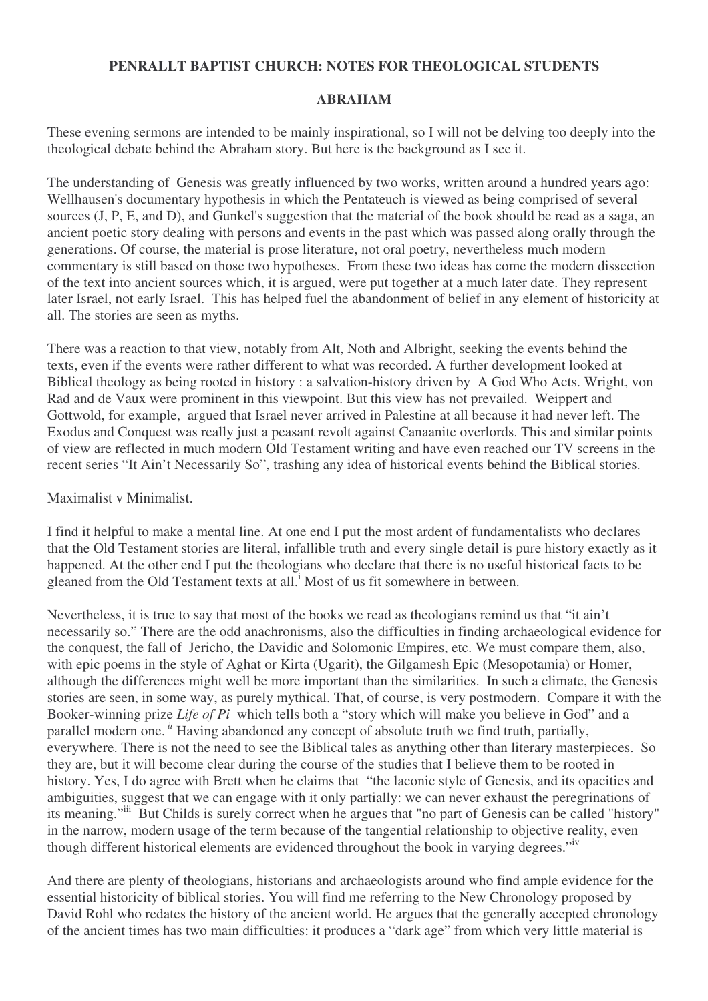# **PENRALLT BAPTIST CHURCH: NOTES FOR THEOLOGICAL STUDENTS**

## **ABRAHAM**

These evening sermons are intended to be mainly inspirational, so I will not be delving too deeply into the theological debate behind the Abraham story. But here is the background as I see it.

The understanding of Genesis was greatly influenced by two works, written around a hundred years ago: Wellhausen's documentary hypothesis in which the Pentateuch is viewed as being comprised of several sources (J, P, E, and D), and Gunkel's suggestion that the material of the book should be read as a saga, an ancient poetic story dealing with persons and events in the past which was passed along orally through the generations. Of course, the material is prose literature, not oral poetry, nevertheless much modern commentary is still based on those two hypotheses. From these two ideas has come the modern dissection of the text into ancient sources which, it is argued, were put together at a much later date. They represent later Israel, not early Israel. This has helped fuel the abandonment of belief in any element of historicity at all. The stories are seen as myths.

There was a reaction to that view, notably from Alt, Noth and Albright, seeking the events behind the texts, even if the events were rather different to what was recorded. A further development looked at Biblical theology as being rooted in history : a salvation-history driven by A God Who Acts. Wright, von Rad and de Vaux were prominent in this viewpoint. But this view has not prevailed. Weippert and Gottwold, for example, argued that Israel never arrived in Palestine at all because it had never left. The Exodus and Conquest was really just a peasant revolt against Canaanite overlords. This and similar points of view are reflected in much modern Old Testament writing and have even reached our TV screens in the recent series "It Ain't Necessarily So", trashing any idea of historical events behind the Biblical stories.

### Maximalist v Minimalist.

I find it helpful to make a mental line. At one end I put the most ardent of fundamentalists who declares that the Old Testament stories are literal, infallible truth and every single detail is pure history exactly as it happened. At the other end I put the theologians who declare that there is no useful historical facts to be gleaned from the Old Testament texts at all.<sup>i</sup> Most of us fit somewhere in between.

Nevertheless, it is true to say that most of the books we read as theologians remind us that "it ain't necessarily so." There are the odd anachronisms, also the difficulties in finding archaeological evidence for the conquest, the fall of Jericho, the Davidic and Solomonic Empires, etc. We must compare them, also, with epic poems in the style of Aghat or Kirta (Ugarit), the Gilgamesh Epic (Mesopotamia) or Homer, although the differences might well be more important than the similarities. In such a climate, the Genesis stories are seen, in some way, as purely mythical. That, of course, is very postmodern. Compare it with the Booker-winning prize *Life of Pi* which tells both a "story which will make you believe in God" and a parallel modern one. *ii* Having abandoned any concept of absolute truth we find truth, partially, everywhere. There is not the need to see the Biblical tales as anything other than literary masterpieces. So they are, but it will become clear during the course of the studies that I believe them to be rooted in history. Yes, I do agree with Brett when he claims that "the laconic style of Genesis, and its opacities and ambiguities, suggest that we can engage with it only partially: we can never exhaust the peregrinations of its meaning."<sup>iii</sup> But Childs is surely correct when he argues that "no part of Genesis can be called "history" in the narrow, modern usage of the term because of the tangential relationship to objective reality, even though different historical elements are evidenced throughout the book in varying degrees."<sup>iv</sup>

And there are plenty of theologians, historians and archaeologists around who find ample evidence for the essential historicity of biblical stories. You will find me referring to the New Chronology proposed by David Rohl who redates the history of the ancient world. He argues that the generally accepted chronology of the ancient times has two main difficulties: it produces a "dark age" from which very little material is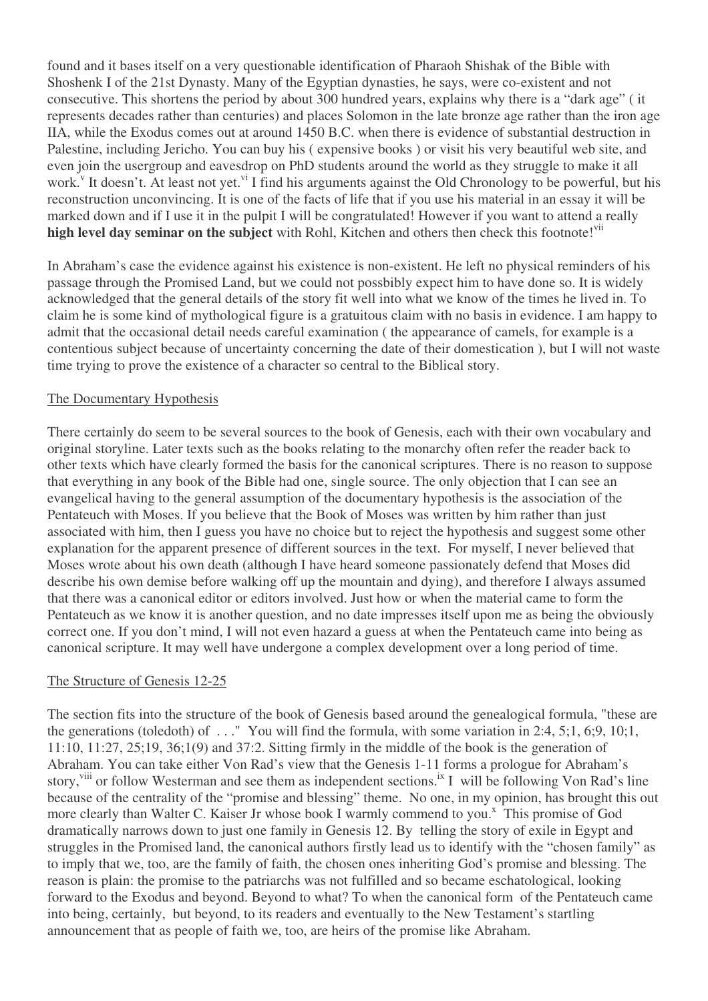found and it bases itself on a very questionable identification of Pharaoh Shishak of the Bible with Shoshenk I of the 21st Dynasty. Many of the Egyptian dynasties, he says, were co-existent and not consecutive. This shortens the period by about 300 hundred years, explains why there is a "dark age" ( it represents decades rather than centuries) and places Solomon in the late bronze age rather than the iron age IIA, while the Exodus comes out at around 1450 B.C. when there is evidence of substantial destruction in Palestine, including Jericho. You can buy his ( expensive books ) or visit his very beautiful web site, and even join the usergroup and eavesdrop on PhD students around the world as they struggle to make it all work.<sup>v</sup> It doesn't. At least not yet.<sup>vi</sup> I find his arguments against the Old Chronology to be powerful, but his reconstruction unconvincing. It is one of the facts of life that if you use his material in an essay it will be marked down and if I use it in the pulpit I will be congratulated! However if you want to attend a really **high level day seminar on the subject** with Rohl, Kitchen and others then check this footnote! vii

In Abraham's case the evidence against his existence is non-existent. He left no physical reminders of his passage through the Promised Land, but we could not possbibly expect him to have done so. It is widely acknowledged that the general details of the story fit well into what we know of the times he lived in. To claim he is some kind of mythological figure is a gratuitous claim with no basis in evidence. I am happy to admit that the occasional detail needs careful examination ( the appearance of camels, for example is a contentious subject because of uncertainty concerning the date of their domestication ), but I will not waste time trying to prove the existence of a character so central to the Biblical story.

### The Documentary Hypothesis

There certainly do seem to be several sources to the book of Genesis, each with their own vocabulary and original storyline. Later texts such as the books relating to the monarchy often refer the reader back to other texts which have clearly formed the basis for the canonical scriptures. There is no reason to suppose that everything in any book of the Bible had one, single source. The only objection that I can see an evangelical having to the general assumption of the documentary hypothesis is the association of the Pentateuch with Moses. If you believe that the Book of Moses was written by him rather than just associated with him, then I guess you have no choice but to reject the hypothesis and suggest some other explanation for the apparent presence of different sources in the text. For myself, I never believed that Moses wrote about his own death (although I have heard someone passionately defend that Moses did describe his own demise before walking off up the mountain and dying), and therefore I always assumed that there was a canonical editor or editors involved. Just how or when the material came to form the Pentateuch as we know it is another question, and no date impresses itself upon me as being the obviously correct one. If you don't mind, I will not even hazard a guess at when the Pentateuch came into being as canonical scripture. It may well have undergone a complex development over a long period of time.

# The Structure of Genesis 12-25

The section fits into the structure of the book of Genesis based around the genealogical formula, "these are the generations (toledoth) of . . ." You will find the formula, with some variation in 2:4, 5;1, 6;9, 10;1, 11:10, 11:27, 25;19, 36;1(9) and 37:2. Sitting firmly in the middle of the book is the generation of Abraham. You can take either Von Rad's view that the Genesis 1-11 forms a prologue for Abraham's story, viii or follow Westerman and see them as independent sections.<sup>ix</sup> I will be following Von Rad's line because of the centrality of the "promise and blessing" theme. No one, in my opinion, has brought this out more clearly than Walter C. Kaiser Jr whose book I warmly commend to you.<sup>x</sup> This promise of God dramatically narrows down to just one family in Genesis 12. By telling the story of exile in Egypt and struggles in the Promised land, the canonical authors firstly lead us to identify with the "chosen family" as to imply that we, too, are the family of faith, the chosen ones inheriting God's promise and blessing. The reason is plain: the promise to the patriarchs was not fulfilled and so became eschatological, looking forward to the Exodus and beyond. Beyond to what? To when the canonical form of the Pentateuch came into being, certainly, but beyond, to its readers and eventually to the New Testament's startling announcement that as people of faith we, too, are heirs of the promise like Abraham.